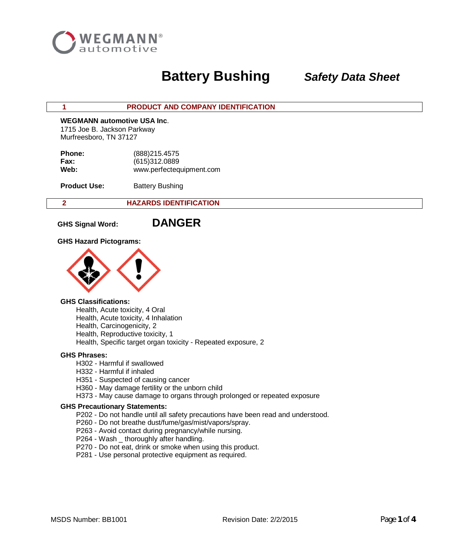

## **1 PRODUCT AND COMPANY IDENTIFICATION**

## **WEGMANN automotive USA Inc**.

 1715 Joe B. Jackson Parkway Murfreesboro, TN 37127

| <b>Phone:</b> | (888) 215.4575           |
|---------------|--------------------------|
| Fax:          | (615)312.0889            |
| Web:          | www.perfectequipment.com |

**Product Use:** Battery Bushing

## **2 HAZARDS IDENTIFICATION**

**GHS Signal Word: DANGER**

**GHS Hazard Pictograms:**



### **GHS Classifications:**

Health, Acute toxicity, 4 Oral Health, Acute toxicity, 4 Inhalation Health, Carcinogenicity, 2 Health, Reproductive toxicity, 1 Health, Specific target organ toxicity - Repeated exposure, 2

## **GHS Phrases:**

- H302 Harmful if swallowed
- H332 Harmful if inhaled
- H351 Suspected of causing cancer
- H360 May damage fertility or the unborn child
- H373 May cause damage to organs through prolonged or repeated exposure

### **GHS Precautionary Statements:**

- P202 Do not handle until all safety precautions have been read and understood.
- P260 Do not breathe dust/fume/gas/mist/vapors/spray.
- P263 Avoid contact during pregnancy/while nursing.
- P264 Wash \_ thoroughly after handling.
- P270 Do not eat, drink or smoke when using this product.
- P281 Use personal protective equipment as required.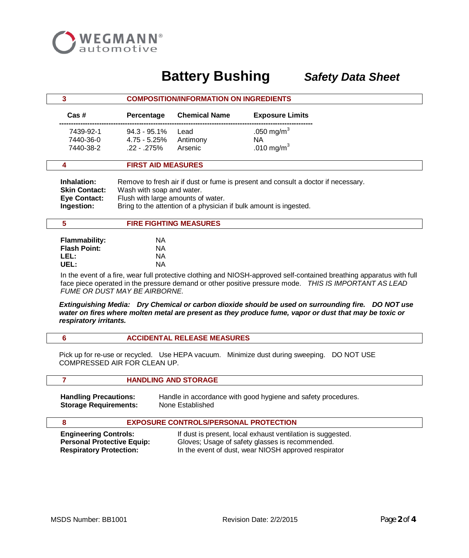

| 3 |                                                                          | <b>COMPOSITION/INFORMATION ON INGREDIENTS</b>                                                                                                                                                                             |                               |                               |  |
|---|--------------------------------------------------------------------------|---------------------------------------------------------------------------------------------------------------------------------------------------------------------------------------------------------------------------|-------------------------------|-------------------------------|--|
|   | $\textsf{Cas}\;\text{\#}$                                                | Percentage                                                                                                                                                                                                                | <b>Chemical Name</b>          | <b>Exposure Limits</b>        |  |
|   | 7439-92-1<br>7440-36-0                                                   | $94.3 - 95.1\%$<br>4.75 - 5.25%                                                                                                                                                                                           | Lead<br>Antimony              | .050 mg/m <sup>3</sup><br>NA. |  |
|   | 7440-38-2                                                                | $.22 - .275%$                                                                                                                                                                                                             | Arsenic                       | .010 mg/m <sup>3</sup>        |  |
|   | 4                                                                        | <b>FIRST AID MEASURES</b>                                                                                                                                                                                                 |                               |                               |  |
|   | Inhalation:<br><b>Skin Contact:</b><br><b>Eye Contact:</b><br>Ingestion: | Remove to fresh air if dust or fume is present and consult a doctor if necessary.<br>Wash with soap and water.<br>Flush with large amounts of water.<br>Bring to the attention of a physician if bulk amount is ingested. |                               |                               |  |
|   | 5                                                                        |                                                                                                                                                                                                                           | <b>FIRE FIGHTING MEASURES</b> |                               |  |
|   | <b>Flammability:</b>                                                     | NA.                                                                                                                                                                                                                       |                               |                               |  |
|   | <b>Flash Point:</b>                                                      | NA.                                                                                                                                                                                                                       |                               |                               |  |
|   | LEL:                                                                     | ΝA                                                                                                                                                                                                                        |                               |                               |  |

In the event of a fire, wear full protective clothing and NIOSH-approved self-contained breathing apparatus with full face piece operated in the pressure demand or other positive pressure mode. *THIS IS IMPORTANT AS LEAD FUME OR DUST MAY BE AIRBORNE.*

*Extinguishing Media: Dry Chemical or carbon dioxide should be used on surrounding fire. DO NOT use water on fires where molten metal are present as they produce fume, vapor or dust that may be toxic or respiratory irritants.*

|  | <b>ACCIDENTAL RELEASE MEASURES</b> |  |
|--|------------------------------------|--|
|--|------------------------------------|--|

 **7 HANDLING AND STORAGE**

Pick up for re-use or recycled. Use HEPA vacuum. Minimize dust during sweeping. DO NOT USE COMPRESSED AIR FOR CLEAN UP.

# **Storage Requirements:**

 **UEL:** NA

**Handling Precautions:** Handle in accordance with good hygiene and safety procedures.<br>**Storage Requirements:** None Established

## **8 EXPOSURE CONTROLS/PERSONAL PROTECTION**

**Engineering Controls:** If dust is present, local exhaust ventilation is suggested. **Personal Protective Equip:** Gloves; Usage of safety glasses is recommended. **Respiratory Protection:** In the event of dust, wear NIOSH approved respirator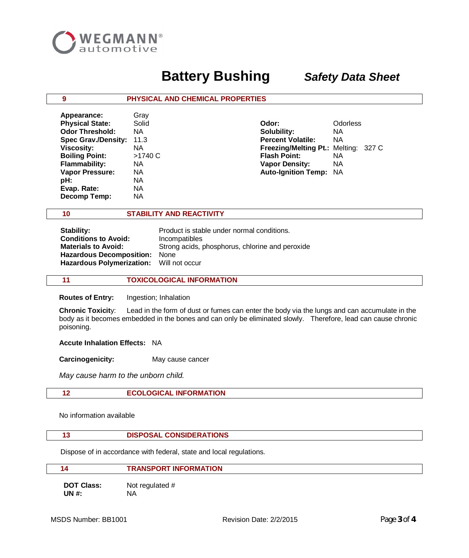

## **9 PHYSICAL AND CHEMICAL PROPERTIES**

| Appearance:              | Gray      |                                      |                 |
|--------------------------|-----------|--------------------------------------|-----------------|
| <b>Physical State:</b>   | Solid     | Odor:                                | <b>Odorless</b> |
| <b>Odor Threshold:</b>   | ΝA        | Solubility:                          | ΝA              |
| Spec Grav./Density: 11.3 |           | <b>Percent Volatile:</b>             | ΝA              |
| <b>Viscosity:</b>        | ΝA        | Freezing/Melting Pt.: Melting: 327 C |                 |
| <b>Boiling Point:</b>    | >1740 C   | <b>Flash Point:</b>                  | ΝA              |
| <b>Flammability:</b>     | <b>NA</b> | <b>Vapor Density:</b>                | ΝA              |
| <b>Vapor Pressure:</b>   | ΝA        | <b>Auto-Ignition Temp: NA</b>        |                 |
| pH:                      | ΝA        |                                      |                 |
| Evap. Rate:              | ΝA        |                                      |                 |
| <b>Decomp Temp:</b>      | ΝA        |                                      |                 |

 **10 STABILITY AND REACTIVITY**

| Product is stable under normal conditions.      |
|-------------------------------------------------|
| Incompatibles                                   |
| Strong acids, phosphorus, chlorine and peroxide |
| Hazardous Decomposition: None                   |
| Hazardous Polymerization: Will not occur        |
|                                                 |

## **11 TOXICOLOGICAL INFORMATION**

 **Routes of Entry:** Ingestion; Inhalation

 **Chronic Toxicit**y: Lead in the form of dust or fumes can enter the body via the lungs and can accumulate in the body as it becomes embedded in the bones and can only be eliminated slowly. Therefore, lead can cause chronic poisoning.

## **Accute Inhalation Effects:** NA

**Carcinogenicity:** May cause cancer

*May cause harm to the unborn child.*

## **12 ECOLOGICAL INFORMATION**

No information available

## **13 DISPOSAL CONSIDERATIONS**

Dispose of in accordance with federal, state and local regulations.

## **14 TRANSPORT INFORMATION**

**DOT Class:** Not regulated # **UN #:** NA